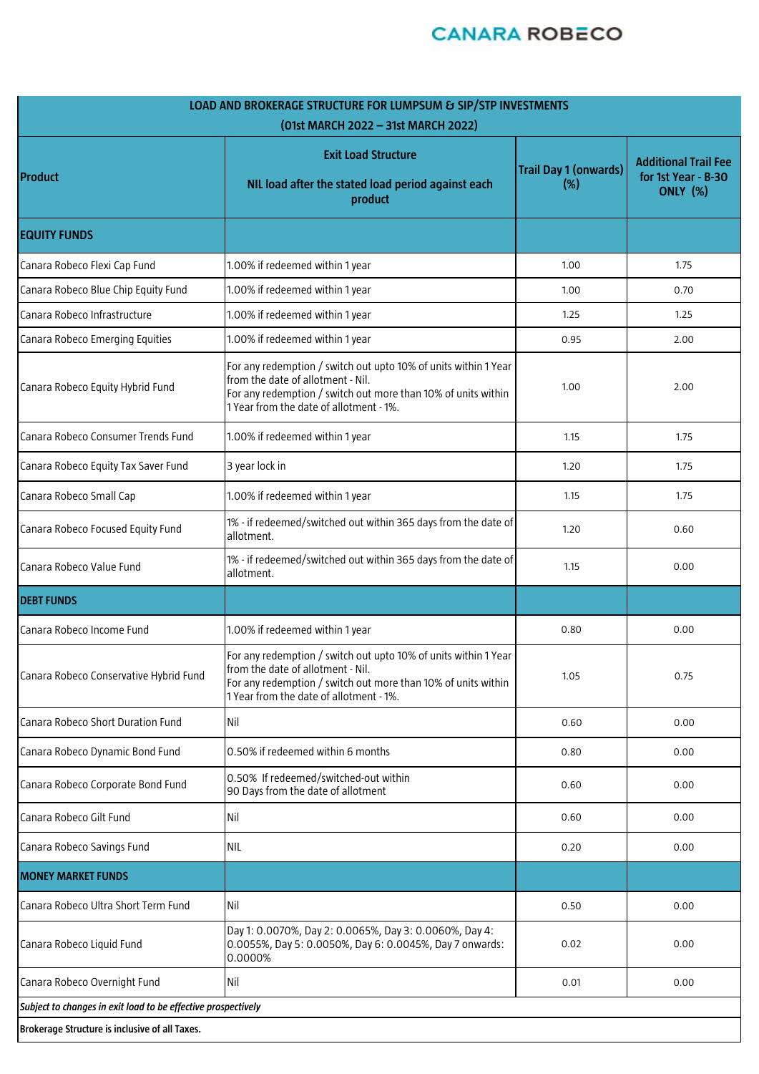# **CANARA ROBECO**

| LOAD AND BROKERAGE STRUCTURE FOR LUMPSUM & SIP/STP INVESTMENTS<br>(01st MARCH 2022 - 31st MARCH 2022) |                                                                                                                                                                                                                  |                                     |                                                                       |
|-------------------------------------------------------------------------------------------------------|------------------------------------------------------------------------------------------------------------------------------------------------------------------------------------------------------------------|-------------------------------------|-----------------------------------------------------------------------|
| Product                                                                                               | <b>Exit Load Structure</b><br>NIL load after the stated load period against each<br>product                                                                                                                      | <b>Trail Day 1 (onwards)</b><br>(%) | <b>Additional Trail Fee</b><br>for 1st Year - B-30<br><b>ONLY (%)</b> |
| <b>EQUITY FUNDS</b>                                                                                   |                                                                                                                                                                                                                  |                                     |                                                                       |
| Canara Robeco Flexi Cap Fund                                                                          | 1.00% if redeemed within 1 year                                                                                                                                                                                  | 1.00                                | 1.75                                                                  |
| Canara Robeco Blue Chip Equity Fund                                                                   | 1.00% if redeemed within 1 year                                                                                                                                                                                  | 1.00                                | 0.70                                                                  |
| Canara Robeco Infrastructure                                                                          | 1.00% if redeemed within 1 year                                                                                                                                                                                  | 1.25                                | 1.25                                                                  |
| Canara Robeco Emerging Equities                                                                       | 1.00% if redeemed within 1 year                                                                                                                                                                                  | 0.95                                | 2.00                                                                  |
| Canara Robeco Equity Hybrid Fund                                                                      | For any redemption / switch out upto 10% of units within 1 Year<br>from the date of allotment - Nil.<br>For any redemption / switch out more than 10% of units within<br>1 Year from the date of allotment - 1%. | 1.00                                | 2.00                                                                  |
| Canara Robeco Consumer Trends Fund                                                                    | 1.00% if redeemed within 1 year                                                                                                                                                                                  | 1.15                                | 1.75                                                                  |
| Canara Robeco Equity Tax Saver Fund                                                                   | 3 year lock in                                                                                                                                                                                                   | 1.20                                | 1.75                                                                  |
| Canara Robeco Small Cap                                                                               | 1.00% if redeemed within 1 year                                                                                                                                                                                  | 1.15                                | 1.75                                                                  |
| Canara Robeco Focused Equity Fund                                                                     | 1% - if redeemed/switched out within 365 days from the date of<br>allotment.                                                                                                                                     | 1.20                                | 0.60                                                                  |
| Canara Robeco Value Fund                                                                              | 1% - if redeemed/switched out within 365 days from the date of<br>allotment.                                                                                                                                     | 1.15                                | 0.00                                                                  |
| <b>DEBT FUNDS</b>                                                                                     |                                                                                                                                                                                                                  |                                     |                                                                       |
| Canara Robeco Income Fund                                                                             | 1.00% if redeemed within 1 year                                                                                                                                                                                  | 0.80                                | 0.00                                                                  |
| Canara Robeco Conservative Hybrid Fund                                                                | For any redemption / switch out upto 10% of units within 1 Year<br>from the date of allotment - Nil.<br>For any redemption / switch out more than 10% of units within<br>1 Year from the date of allotment - 1%. | 1.05                                | 0.75                                                                  |
| Canara Robeco Short Duration Fund                                                                     | Nil                                                                                                                                                                                                              | 0.60                                | 0.00                                                                  |
| Canara Robeco Dynamic Bond Fund                                                                       | 0.50% if redeemed within 6 months                                                                                                                                                                                | 0.80                                | 0.00                                                                  |
| Canara Robeco Corporate Bond Fund                                                                     | 0.50% If redeemed/switched-out within<br>90 Days from the date of allotment                                                                                                                                      | 0.60                                | 0.00                                                                  |
| Canara Robeco Gilt Fund                                                                               | Nil                                                                                                                                                                                                              | 0.60                                | 0.00                                                                  |
| Canara Robeco Savings Fund                                                                            | <b>NIL</b>                                                                                                                                                                                                       | 0.20                                | 0.00                                                                  |
| <b>MONEY MARKET FUNDS</b>                                                                             |                                                                                                                                                                                                                  |                                     |                                                                       |
| Canara Robeco Ultra Short Term Fund                                                                   | Nil                                                                                                                                                                                                              | 0.50                                | 0.00                                                                  |
| Canara Robeco Liquid Fund                                                                             | Day 1: 0.0070%, Day 2: 0.0065%, Day 3: 0.0060%, Day 4:<br>0.0055%, Day 5: 0.0050%, Day 6: 0.0045%, Day 7 onwards:<br>0.0000%                                                                                     | 0.02                                | 0.00                                                                  |
| Canara Robeco Overnight Fund                                                                          | Nil                                                                                                                                                                                                              | 0.01                                | 0.00                                                                  |
| Subject to changes in exit load to be effective prospectively                                         |                                                                                                                                                                                                                  |                                     |                                                                       |
| Brokerage Structure is inclusive of all Taxes.                                                        |                                                                                                                                                                                                                  |                                     |                                                                       |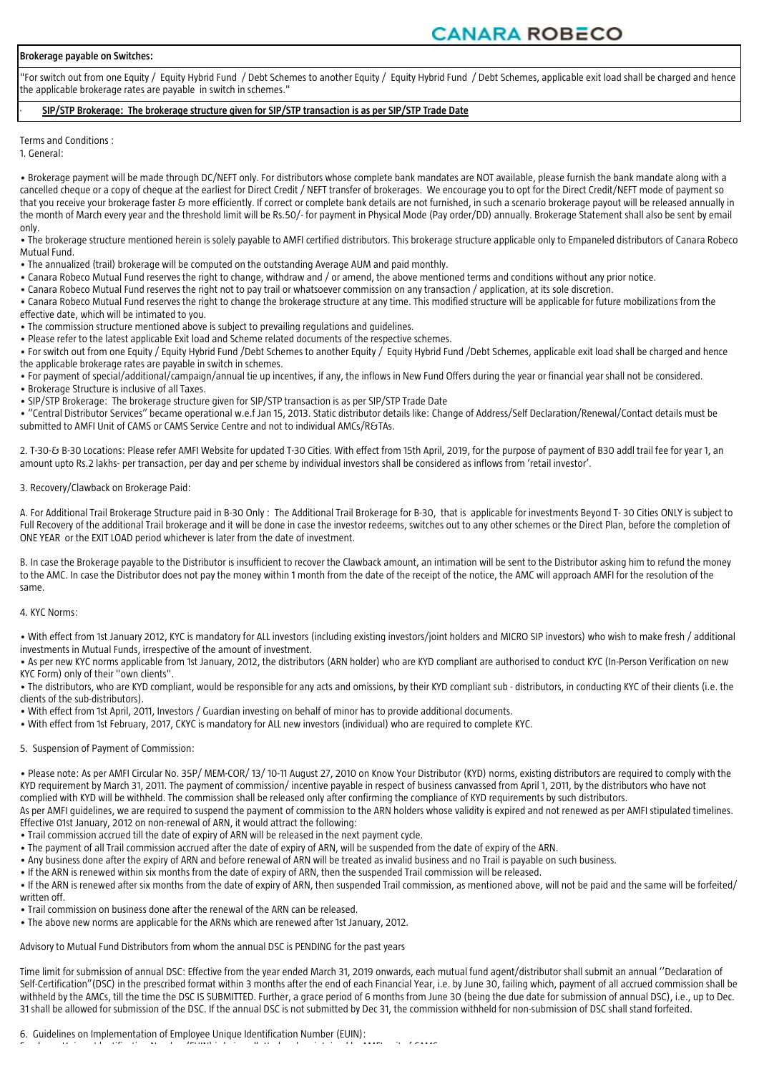# **CANARA ROBECO**

#### **Brokerage payable on Switches:**

"For switch out from one Equity / Equity Hybrid Fund / Debt Schemes to another Equity / Equity Hybrid Fund / Debt Schemes, applicable exit load shall be charged and hence the applicable brokerage rates are payable in switch in schemes."

#### · **SIP/STP Brokerage: The brokerage structure given for SIP/STP transaction is as per SIP/STP Trade Date**

Terms and Conditions : 1. General:

• Brokerage payment will be made through DC/NEFT only. For distributors whose complete bank mandates are NOT available, please furnish the bank mandate along with a cancelled cheque or a copy of cheque at the earliest for Direct Credit / NEFT transfer of brokerages. We encourage you to opt for the Direct Credit/NEFT mode of payment so that you receive your brokerage faster & more efficiently. If correct or complete bank details are not furnished, in such a scenario brokerage payout will be released annually in the month of March every year and the threshold limit will be Rs.50/- for payment in Physical Mode (Pay order/DD) annually. Brokerage Statement shall also be sent by email only.

• The brokerage structure mentioned herein is solely payable to AMFI certified distributors. This brokerage structure applicable only to Empaneled distributors of Canara Robeco Mutual Fund.

- The annualized (trail) brokerage will be computed on the outstanding Average AUM and paid monthly.
- Canara Robeco Mutual Fund reserves the right to change, withdraw and / or amend, the above mentioned terms and conditions without any prior notice.
- Canara Robeco Mutual Fund reserves the right not to pay trail or whatsoever commission on any transaction / application, at its sole discretion.
- Canara Robeco Mutual Fund reserves the right to change the brokerage structure at any time. This modified structure will be applicable for future mobilizations from the
- effective date, which will be intimated to you.
- The commission structure mentioned above is subject to prevailing regulations and guidelines.

• Please refer to the latest applicable Exit load and Scheme related documents of the respective schemes. • For switch out from one Equity / Equity Hybrid Fund /Debt Schemes to another Equity / Equity Hybrid Fund /Debt Schemes, applicable exit load shall be charged and hence the applicable brokerage rates are payable in switch in schemes.

• For payment of special/additional/campaign/annual tie up incentives, if any, the inflows in New Fund Offers during the year or financial year shall not be considered.

- Brokerage Structure is inclusive of all Taxes.
- SIP/STP Brokerage: The brokerage structure given for SIP/STP transaction is as per SIP/STP Trade Date

• "Central Distributor Services" became operational w.e.f Jan 15, 2013. Static distributor details like: Change of Address/Self Declaration/Renewal/Contact details must be submitted to AMFI Unit of CAMS or CAMS Service Centre and not to individual AMCs/R&TAs.

2. T-30-& B-30 Locations: Please refer AMFI Website for updated T-30 Cities. With effect from 15th April, 2019, for the purpose of payment of B30 addl trail fee for year 1, an amount upto Rs.2 lakhs- per transaction, per day and per scheme by individual investors shall be considered as inflows from 'retail investor'.

### 3. Recovery/Clawback on Brokerage Paid:

A. For Additional Trail Brokerage Structure paid in B-30 Only : The Additional Trail Brokerage for B-30, that is applicable for investments Beyond T- 30 Cities ONLY is subject to Full Recovery of the additional Trail brokerage and it will be done in case the investor redeems, switches out to any other schemes or the Direct Plan, before the completion of ONE YEAR or the EXIT LOAD period whichever is later from the date of investment.

B. In case the Brokerage payable to the Distributor is insufficient to recover the Clawback amount, an intimation will be sent to the Distributor asking him to refund the money to the AMC. In case the Distributor does not pay the money within 1 month from the date of the receipt of the notice, the AMC will approach AMFI for the resolution of the same.

# 4. KYC Norms:

• With effect from 1st January 2012, KYC is mandatory for ALL investors (including existing investors/joint holders and MICRO SIP investors) who wish to make fresh / additional investments in Mutual Funds, irrespective of the amount of investment.

• As per new KYC norms applicable from 1st January, 2012, the distributors (ARN holder) who are KYD compliant are authorised to conduct KYC (In-Person Verification on new KYC Form) only of their "own clients".

• The distributors, who are KYD compliant, would be responsible for any acts and omissions, by their KYD compliant sub - distributors, in conducting KYC of their clients (i.e. the clients of the sub-distributors).

• With effect from 1st April, 2011, Investors / Guardian investing on behalf of minor has to provide additional documents.

• With effect from 1st February, 2017, CKYC is mandatory for ALL new investors (individual) who are required to complete KYC.

# 5. Suspension of Payment of Commission:

• Please note: As per AMFI Circular No. 35P/ MEM-COR/ 13/ 10-11 August 27, 2010 on Know Your Distributor (KYD) norms, existing distributors are required to comply with the KYD requirement by March 31, 2011. The payment of commission/ incentive payable in respect of business canvassed from April 1, 2011, by the distributors who have not complied with KYD will be withheld. The commission shall be released only after confirming the compliance of KYD requirements by such distributors.

As per AMFI guidelines, we are required to suspend the payment of commission to the ARN holders whose validity is expired and not renewed as per AMFI stipulated timelines. Effective 01st January, 2012 on non-renewal of ARN, it would attract the following:

- Trail commission accrued till the date of expiry of ARN will be released in the next payment cycle.
- The payment of all Trail commission accrued after the date of expiry of ARN, will be suspended from the date of expiry of the ARN.
- Any business done after the expiry of ARN and before renewal of ARN will be treated as invalid business and no Trail is payable on such business.
- If the ARN is renewed within six months from the date of expiry of ARN, then the suspended Trail commission will be released.

• If the ARN is renewed after six months from the date of expiry of ARN, then suspended Trail commission, as mentioned above, will not be paid and the same will be forfeited/ written off.

- Trail commission on business done after the renewal of the ARN can be released.
- The above new norms are applicable for the ARNs which are renewed after 1st January, 2012.

# Advisory to Mutual Fund Distributors from whom the annual DSC is PENDING for the past years

Time limit for submission of annual DSC: Effective from the year ended March 31, 2019 onwards, each mutual fund agent/distributor shall submit an annual ''Declaration of Self-Certification"(DSC) in the prescribed format within 3 months after the end of each Financial Year, i.e. by June 30, failing which, payment of all accrued commission shall be withheld by the AMCs, till the time the DSC IS SUBMITTED. Further, a grace period of 6 months from June 30 (being the due date for submission of annual DSC), i.e., up to Dec. 31 shall be allowed for submission of the DSC. If the annual DSC is not submitted by Dec 31, the commission withheld for non-submission of DSC shall stand forfeited.

6. Guidelines on Implementation of Employee Unique Identification Number (EUIN):

Employee Unique Identification Number (EUIN) is being allotted and maintained by AMFI unit of CAMS.